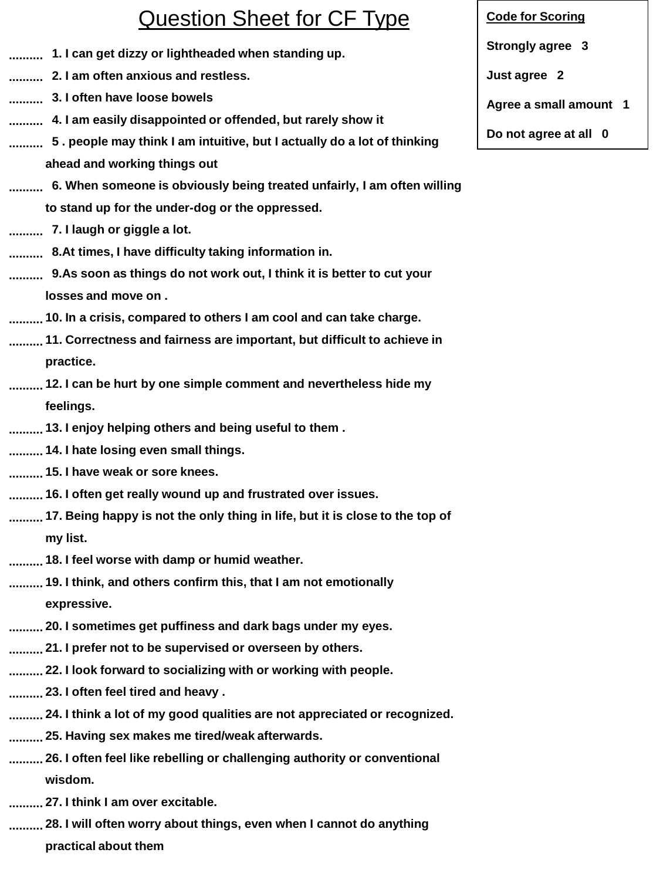## Question Sheet for CF Type

- **1. I can get dizzy or lightheaded when standing up. ..........**
- **2. I am often anxious and restless. ..........**
- **3. I often have loose bowels ..........**
- **4. I am easily disappointed or offended, but rarely show it ..........**
- **5 . people may think I am intuitive, but I actually do a lot of thinking .......... ahead and working things out**
- **6. When someone is obviously being treated unfairly, I am often willing .......... to stand up for the under-dog or the oppressed.**
- **7. I laugh or giggle a lot. ..........**
- **8.At times, I have difficulty taking information in. ..........**
- **9.As soon as things do not work out, I think it is better to cut your .......... losses and move on .**
- **10. In a crisis, compared to others I am cool and can take charge. ..........**
- **11. Correctness and fairness are important, but difficult to achieve in .......... practice.**
- **12. I can be hurt by one simple comment and nevertheless hide my .......... feelings.**
- **13. I enjoy helping others and being useful to them . ..........**
- **14. I hate losing even small things. ..........**
- **15. I have weak or sore knees. ..........**
- **16. I often get really wound up and frustrated over issues. ..........**
- **17. Being happy is not the only thing in life, but it is close to the top of .......... my list.**
- **18. I feel worse with damp or humid weather. ..........**
- **19. I think, and others confirm this, that I am not emotionally .......... expressive.**
- **20. I sometimes get puffiness and dark bags under my eyes. ..........**
- **21. I prefer not to be supervised or overseen by others. ..........**
- **22. I look forward to socializing with or working with people. ..........**
- **23. I often feel tired and heavy . ..........**
- **24. I think a lot of my good qualities are not appreciated or recognized. ..........**
- **25. Having sex makes me tired/weak afterwards. ..........**
- **26. I often feel like rebelling or challenging authority or conventional .......... wisdom.**
- **27. I think I am over excitable. ..........**
- **28. I will often worry about things, even when I cannot do anything ..........**
	- **practical about them**

## **Code for Scoring**

**Strongly agree 3**

**Just agree 2**

**Agree a small amount 1**

**Do not agree at all 0**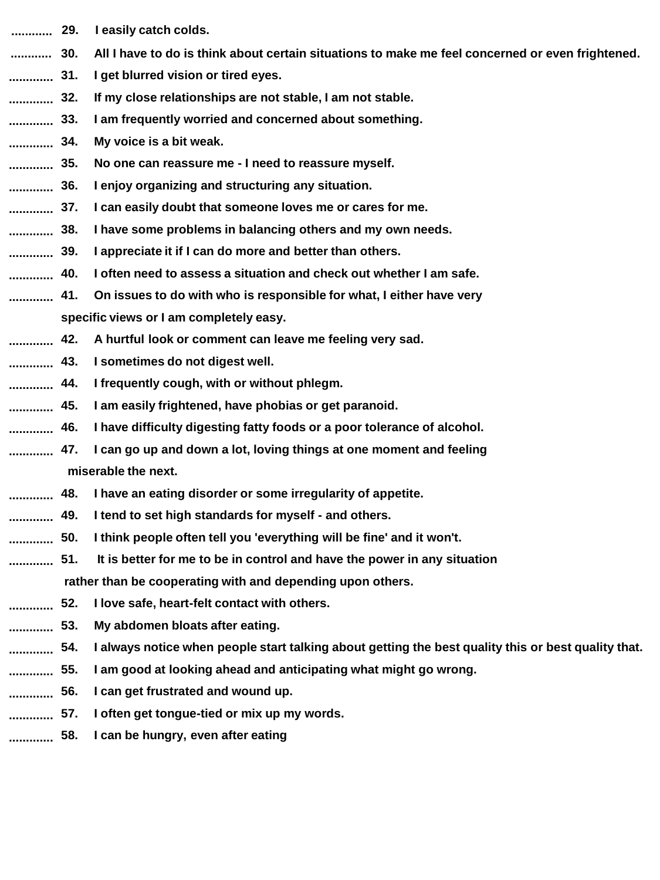- **............ 29. I easily catch colds.**
- All I have to do is think about certain situations to make me feel concerned or even frightened. **............**
- **31. I get blurred vision or tired eyes. .............**
- **32. If my close relationships are not stable, I am not stable. .............**
- **33. I am frequently worried and concerned about something. .............**
- **34. My voice is a bit weak. .............**
- **35. No one can reassure me - I need to reassure myself. .............**
- **36. I enjoy organizing and structuring any situation. .............**
- **37. I can easily doubt that someone loves me or cares for me. .............**
- **38. I have some problems in balancing others and my own needs. .............**
- **39. I appreciate it if I can do more and better than others. .............**
- **40. I often need to assess a situation and check out whether I am safe. .............**
- **41. On issues to do with who is responsible for what, I either have very specific views or I am completely easy. .............**
- **42. A hurtful look or comment can leave me feeling very sad. .............**
- **43. I sometimes do not digest well. .............**
- **44. I frequently cough, with or without phlegm. .............**
- **45. I am easily frightened, have phobias or get paranoid. .............**
- **46. I have difficulty digesting fatty foods or a poor tolerance of alcohol. .............**
- **47. I can go up and down a lot, loving things at one moment and feeling miserable the next. .............**
- **48. I have an eating disorder or some irregularity of appetite. .............**
- **49. I tend to set high standards for myself - and others. .............**
- **50. I think people often tell you 'everything will be fine' and it won't. .............**
- **51. It is better for me to be in control and have the power in any situation rather than be cooperating with and depending upon others. .............**
- **52. I love safe, heart-felt contact with others. .............**
- **53. My abdomen bloats after eating. .............**
- **54. I always notice when people start talking about getting the best quality this or best quality that. .............**
- **55. I am good at looking ahead and anticipating what might go wrong. .............**
- **56. I can get frustrated and wound up. .............**
- **57. I often get tongue-tied or mix up my words. .............**
- **58. I can be hungry, even after eating .............**